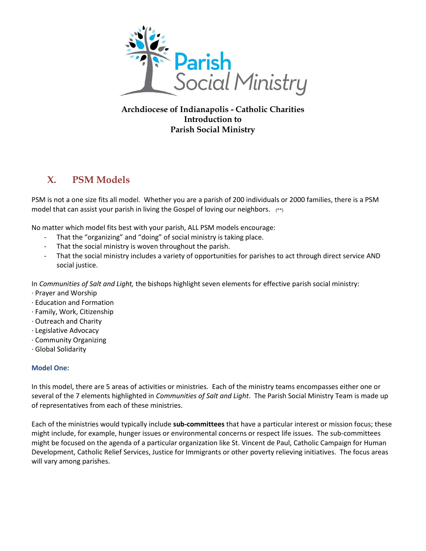

## **Archdiocese of Indianapolis - Catholic Charities Introduction to Parish Social Ministry**

# **X. PSM Models**

PSM is not a one size fits all model. Whether you are a parish of 200 individuals or 2000 families, there is a PSM model that can assist your parish in living the Gospel of loving our neighbors. (\*\*)

No matter which model fits best with your parish, ALL PSM models encourage:

- That the "organizing" and "doing" of social ministry is taking place.
- That the social ministry is woven throughout the parish.
- That the social ministry includes a variety of opportunities for parishes to act through direct service AND social justice.

In *Communities of Salt and Light,* the bishops highlight seven elements for effective parish social ministry:

- · Prayer and Worship
- · Education and Formation
- · Family, Work, Citizenship
- · Outreach and Charity
- · Legislative Advocacy
- · Community Organizing
- · Global Solidarity

### **Model One:**

In this model, there are 5 areas of activities or ministries. Each of the ministry teams encompasses either one or several of the 7 elements highlighted in *Communities of Salt and Light*. The Parish Social Ministry Team is made up of representatives from each of these ministries.

Each of the ministries would typically include **sub-committees** that have a particular interest or mission focus; these might include, for example, hunger issues or environmental concerns or respect life issues. The sub-committees might be focused on the agenda of a particular organization like St. Vincent de Paul, Catholic Campaign for Human Development, Catholic Relief Services, Justice for Immigrants or other poverty relieving initiatives. The focus areas will vary among parishes.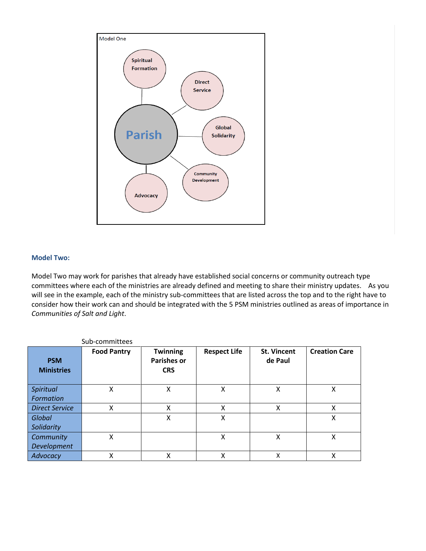

### **Model Two:**

Model Two may work for parishes that already have established social concerns or community outreach type committees where each of the ministries are already defined and meeting to share their ministry updates. As you will see in the example, each of the ministry sub-committees that are listed across the top and to the right have to consider how their work can and should be integrated with the 5 PSM ministries outlined as areas of importance in *Communities of Salt and Light*.

| <b>PSM</b><br><b>Ministries</b> | <b>Food Pantry</b> | <b>Twinning</b><br><b>Parishes or</b><br><b>CRS</b> | <b>Respect Life</b> | <b>St. Vincent</b><br>de Paul | <b>Creation Care</b> |
|---------------------------------|--------------------|-----------------------------------------------------|---------------------|-------------------------------|----------------------|
| <b>Spiritual</b>                | Χ                  | Χ                                                   | Χ                   | Χ                             | Χ                    |
| Formation                       |                    |                                                     |                     |                               |                      |
| <b>Direct Service</b>           | X                  | X                                                   | Χ                   | X                             | X                    |
| <b>Global</b>                   |                    | Χ                                                   | Χ                   |                               | X                    |
| Solidarity                      |                    |                                                     |                     |                               |                      |
| Community                       | Χ                  |                                                     | Χ                   | Χ                             | X                    |
| Development                     |                    |                                                     |                     |                               |                      |
| Advocacy                        | χ                  | Χ                                                   | χ                   | X                             | χ                    |

Sub-committees